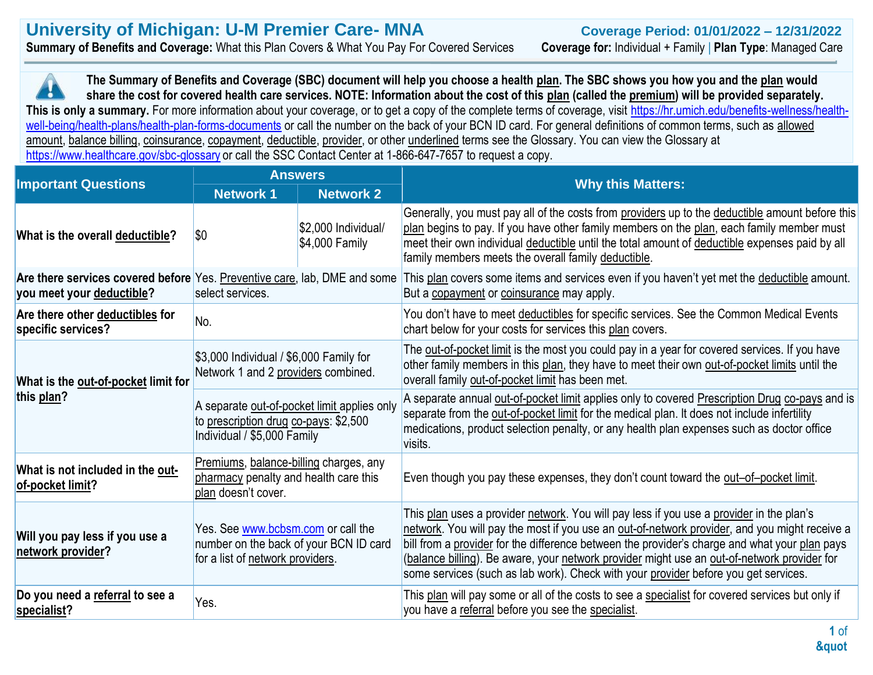**The Summary of Benefits and Coverage (SBC) document will help you choose a health plan. The SBC shows you how you and the plan would**  IJ **share the cost for covered health care services. NOTE: Information about the cost of this plan (called the premium) will be provided separately. This is only a summary.** For more information about your coverage, or to get a copy of the complete terms of coverage, visit [https://hr.umich.edu/benefits-wellness/health](https://hr.umich.edu/benefits-wellness/health-well-being/health-plans/health-plan-forms-documents)[well-being/health-plans/health-plan-forms-documents](https://hr.umich.edu/benefits-wellness/health-well-being/health-plans/health-plan-forms-documents) or call the number on the back of your BCN ID card. For general definitions of common terms, such as allowed amount, balance billing, coinsurance, copayment, deductible, provider, or other underlined terms see the Glossary. You can view the Glossary at <https://www.healthcare.gov/sbc-glossary> or call the SSC Contact Center at 1-866-647-7657 to request a copy.

|                                                                                                        | <b>Answers</b>                                                                                                      |                                        |                                                                                                                                                                                                                                                                                                                                                                                                                                                                                  |  |
|--------------------------------------------------------------------------------------------------------|---------------------------------------------------------------------------------------------------------------------|----------------------------------------|----------------------------------------------------------------------------------------------------------------------------------------------------------------------------------------------------------------------------------------------------------------------------------------------------------------------------------------------------------------------------------------------------------------------------------------------------------------------------------|--|
| <b>Important Questions</b>                                                                             | <b>Network 1</b>                                                                                                    | <b>Network 2</b>                       | <b>Why this Matters:</b>                                                                                                                                                                                                                                                                                                                                                                                                                                                         |  |
| What is the overall deductible?                                                                        | <b>SO</b>                                                                                                           | \$2,000 Individual/<br>$$4,000$ Family | Generally, you must pay all of the costs from providers up to the deductible amount before this<br>plan begins to pay. If you have other family members on the plan, each family member must<br>meet their own individual deductible until the total amount of deductible expenses paid by all<br>family members meets the overall family deductible.                                                                                                                            |  |
| Are there services covered before Yes. Preventive care, lab, DME and some<br>you meet your deductible? | select services.                                                                                                    |                                        | This plan covers some items and services even if you haven't yet met the deductible amount.<br>But a copayment or coinsurance may apply.                                                                                                                                                                                                                                                                                                                                         |  |
| Are there other deductibles for<br>specific services?                                                  | No.                                                                                                                 |                                        | You don't have to meet deductibles for specific services. See the Common Medical Events<br>chart below for your costs for services this plan covers.                                                                                                                                                                                                                                                                                                                             |  |
| What is the out-of-pocket limit for                                                                    | \$3,000 Individual / \$6,000 Family for<br>Network 1 and 2 providers combined.                                      |                                        | The out-of-pocket limit is the most you could pay in a year for covered services. If you have<br>other family members in this plan, they have to meet their own out-of-pocket limits until the<br>overall family out-of-pocket limit has been met.                                                                                                                                                                                                                               |  |
| this plan?                                                                                             | A separate out-of-pocket limit applies only<br>to prescription drug co-pays: \$2,500<br>Individual / \$5,000 Family |                                        | A separate annual out-of-pocket limit applies only to covered Prescription Drug co-pays and is<br>separate from the out-of-pocket limit for the medical plan. It does not include infertility<br>medications, product selection penalty, or any health plan expenses such as doctor office<br>visits.                                                                                                                                                                            |  |
| What is not included in the out-<br>of-pocket limit?                                                   | Premiums, balance-billing charges, any<br>pharmacy penalty and health care this<br>plan doesn't cover.              |                                        | Even though you pay these expenses, they don't count toward the out-of-pocket limit.                                                                                                                                                                                                                                                                                                                                                                                             |  |
| Will you pay less if you use a<br>network provider?                                                    | Yes. See www.bcbsm.com or call the<br>number on the back of your BCN ID card<br>for a list of network providers.    |                                        | This plan uses a provider network. You will pay less if you use a provider in the plan's<br>network. You will pay the most if you use an out-of-network provider, and you might receive a<br>bill from a provider for the difference between the provider's charge and what your plan pays<br>(balance billing). Be aware, your network provider might use an out-of-network provider for<br>some services (such as lab work). Check with your provider before you get services. |  |
| Do you need a referral to see a<br>specialist?                                                         | Yes.                                                                                                                |                                        | This plan will pay some or all of the costs to see a specialist for covered services but only if<br>you have a referral before you see the specialist.                                                                                                                                                                                                                                                                                                                           |  |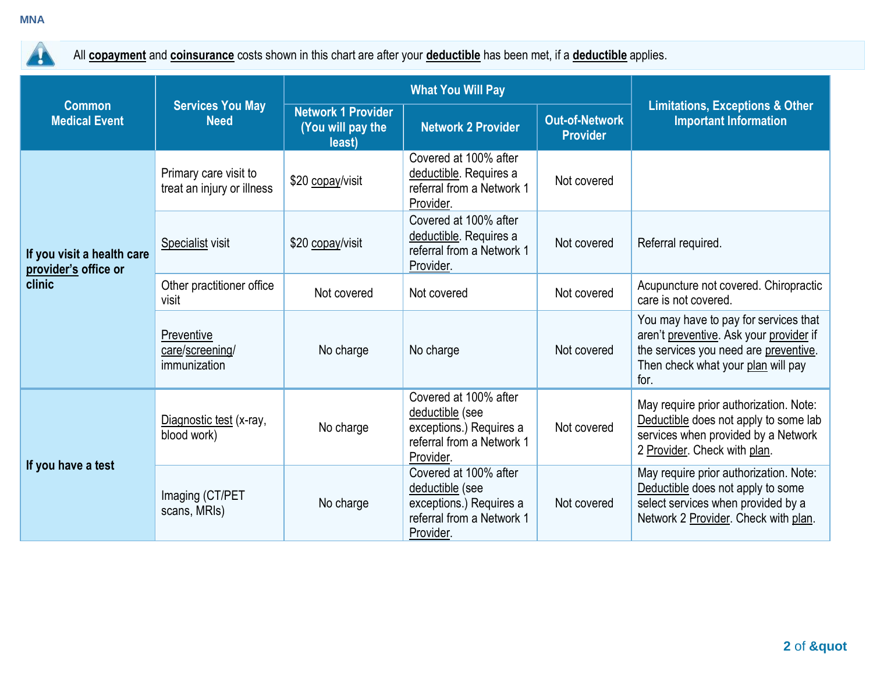**MNA**



All **copayment** and **coinsurance** costs shown in this chart are after your **deductible** has been met, if a **deductible** applies.

|                                                              | <b>Services You May</b><br><b>Need</b>              | <b>What You Will Pay</b>                                 |                                                                                                               |                                          |                                                                                                                                                                         |
|--------------------------------------------------------------|-----------------------------------------------------|----------------------------------------------------------|---------------------------------------------------------------------------------------------------------------|------------------------------------------|-------------------------------------------------------------------------------------------------------------------------------------------------------------------------|
| <b>Common</b><br><b>Medical Event</b>                        |                                                     | <b>Network 1 Provider</b><br>(You will pay the<br>least) | <b>Network 2 Provider</b>                                                                                     | <b>Out-of-Network</b><br><b>Provider</b> | <b>Limitations, Exceptions &amp; Other</b><br><b>Important Information</b>                                                                                              |
| If you visit a health care<br>provider's office or<br>clinic | Primary care visit to<br>treat an injury or illness | \$20 copay/visit                                         | Covered at 100% after<br>deductible. Requires a<br>referral from a Network 1<br>Provider.                     | Not covered                              |                                                                                                                                                                         |
|                                                              | <b>Specialist visit</b>                             | \$20 copay/visit                                         | Covered at 100% after<br>deductible. Requires a<br>referral from a Network 1<br>Provider.                     | Not covered                              | Referral required.                                                                                                                                                      |
|                                                              | Other practitioner office<br>visit                  | Not covered                                              | Not covered                                                                                                   | Not covered                              | Acupuncture not covered. Chiropractic<br>care is not covered.                                                                                                           |
|                                                              | Preventive<br>care/screening/<br>immunization       | No charge                                                | No charge                                                                                                     | Not covered                              | You may have to pay for services that<br>aren't preventive. Ask your provider if<br>the services you need are preventive.<br>Then check what your plan will pay<br>for. |
| If you have a test                                           | Diagnostic test (x-ray,<br>blood work)              | No charge                                                | Covered at 100% after<br>deductible (see<br>exceptions.) Requires a<br>referral from a Network 1<br>Provider. | Not covered                              | May require prior authorization. Note:<br>Deductible does not apply to some lab<br>services when provided by a Network<br>2 Provider. Check with plan.                  |
|                                                              | Imaging (CT/PET<br>scans, MRIs)                     | No charge                                                | Covered at 100% after<br>deductible (see<br>exceptions.) Requires a<br>referral from a Network 1<br>Provider. | Not covered                              | May require prior authorization. Note:<br>Deductible does not apply to some<br>select services when provided by a<br>Network 2 Provider. Check with plan.               |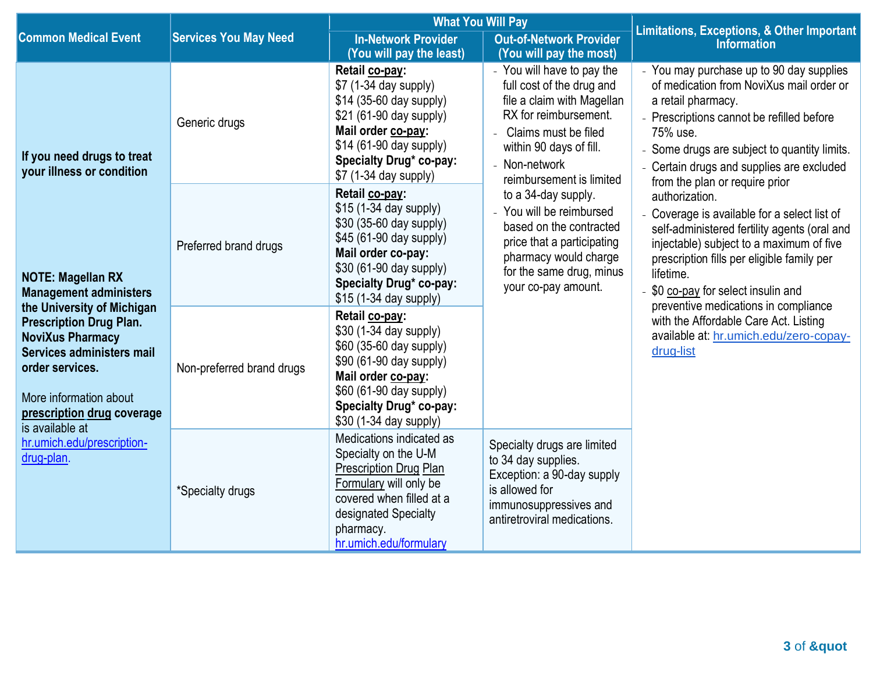|                                                                                                                                                                                                                                                                                                                                                                                        |                              | <b>What You Will Pay</b>                                                                                                                                                                                    |                                                                                                                                                                                                                                                       | <b>Limitations, Exceptions, &amp; Other Important</b>                                                                                                                                                                                                                 |  |
|----------------------------------------------------------------------------------------------------------------------------------------------------------------------------------------------------------------------------------------------------------------------------------------------------------------------------------------------------------------------------------------|------------------------------|-------------------------------------------------------------------------------------------------------------------------------------------------------------------------------------------------------------|-------------------------------------------------------------------------------------------------------------------------------------------------------------------------------------------------------------------------------------------------------|-----------------------------------------------------------------------------------------------------------------------------------------------------------------------------------------------------------------------------------------------------------------------|--|
| <b>Common Medical Event</b>                                                                                                                                                                                                                                                                                                                                                            | <b>Services You May Need</b> | <b>In-Network Provider</b><br>(You will pay the least)                                                                                                                                                      | <b>Out-of-Network Provider</b><br>(You will pay the most)                                                                                                                                                                                             | <b>Information</b>                                                                                                                                                                                                                                                    |  |
| If you need drugs to treat<br>your illness or condition<br><b>NOTE: Magellan RX</b><br><b>Management administers</b><br>the University of Michigan<br><b>Prescription Drug Plan.</b><br><b>NoviXus Pharmacy</b><br>Services administers mail<br>order services.<br>More information about<br>prescription drug coverage<br>is available at<br>hr.umich.edu/prescription-<br>drug-plan. | Generic drugs                | Retail co-pay:<br>\$7 (1-34 day supply)<br>\$14 (35-60 day supply)<br>\$21 (61-90 day supply)<br>Mail order co-pay:<br>\$14 (61-90 day supply)<br>Specialty Drug* co-pay:<br>\$7 (1-34 day supply)          | - You will have to pay the<br>full cost of the drug and<br>file a claim with Magellan<br>RX for reimbursement.<br>Claims must be filed<br>within 90 days of fill.<br>- Non-network<br>reimbursement is limited                                        | - You may purchase up to 90 day supplies<br>of medication from NoviXus mail order or<br>a retail pharmacy.<br>- Prescriptions cannot be refilled before<br>75% use.<br>Some drugs are subject to quantity limits.<br>Certain drugs and supplies are excluded          |  |
|                                                                                                                                                                                                                                                                                                                                                                                        | Preferred brand drugs        | Retail co-pay:<br>\$15 (1-34 day supply)<br>\$30 (35-60 day supply)<br>\$45 (61-90 day supply)<br>Mail order co-pay:<br>\$30 (61-90 day supply)<br>Specialty Drug* co-pay:<br>\$15 (1-34 day supply)        | from the plan or require prior<br>to a 34-day supply.<br>authorization.<br>- You will be reimbursed<br>based on the contracted<br>price that a participating<br>pharmacy would charge<br>for the same drug, minus<br>lifetime.<br>your co-pay amount. | - Coverage is available for a select list of<br>self-administered fertility agents (oral and<br>injectable) subject to a maximum of five<br>prescription fills per eligible family per<br>- \$0 co-pay for select insulin and<br>preventive medications in compliance |  |
|                                                                                                                                                                                                                                                                                                                                                                                        | Non-preferred brand drugs    | Retail co-pay:<br>\$30 (1-34 day supply)<br>\$60 (35-60 day supply)<br>\$90 (61-90 day supply)<br>Mail order co-pay:<br>\$60 (61-90 day supply)<br><b>Specialty Drug* co-pay:</b><br>\$30 (1-34 day supply) |                                                                                                                                                                                                                                                       | with the Affordable Care Act. Listing<br>available at: hr.umich.edu/zero-copay-<br>drug-list                                                                                                                                                                          |  |
|                                                                                                                                                                                                                                                                                                                                                                                        | *Specialty drugs             | Medications indicated as<br>Specialty on the U-M<br><b>Prescription Drug Plan</b><br>Formulary will only be<br>covered when filled at a<br>designated Specialty<br>pharmacy.<br>hr.umich.edu/formulary      | Specialty drugs are limited<br>to 34 day supplies.<br>Exception: a 90-day supply<br>is allowed for<br>immunosuppressives and<br>antiretroviral medications.                                                                                           |                                                                                                                                                                                                                                                                       |  |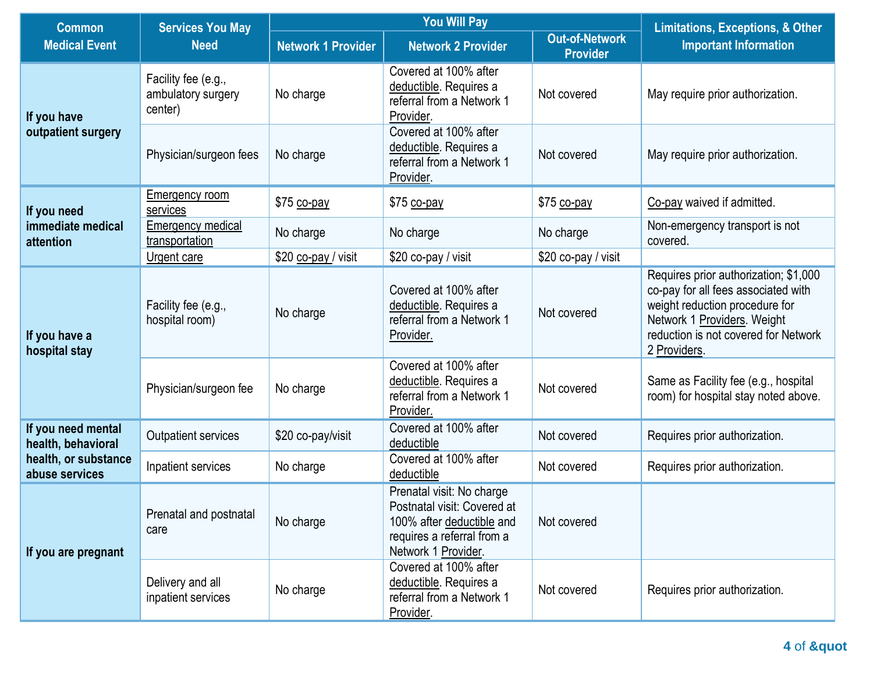| <b>Services You May</b><br><b>Common</b> |                                                      | <b>You Will Pay</b>       |                                                                                                                                            |                                          | <b>Limitations, Exceptions, &amp; Other</b>                                                                                                                                                           |
|------------------------------------------|------------------------------------------------------|---------------------------|--------------------------------------------------------------------------------------------------------------------------------------------|------------------------------------------|-------------------------------------------------------------------------------------------------------------------------------------------------------------------------------------------------------|
| <b>Medical Event</b>                     | <b>Need</b>                                          | <b>Network 1 Provider</b> | <b>Network 2 Provider</b>                                                                                                                  | <b>Out-of-Network</b><br><b>Provider</b> | <b>Important Information</b>                                                                                                                                                                          |
| If you have<br>outpatient surgery        | Facility fee (e.g.,<br>ambulatory surgery<br>center) | No charge                 | Covered at 100% after<br>deductible. Requires a<br>referral from a Network 1<br>Provider.                                                  | Not covered                              | May require prior authorization.                                                                                                                                                                      |
|                                          | Physician/surgeon fees                               | No charge                 | Covered at 100% after<br>deductible. Requires a<br>referral from a Network 1<br>Provider.                                                  | Not covered                              | May require prior authorization.                                                                                                                                                                      |
| If you need                              | <b>Emergency room</b><br>services                    | \$75 co-pay               | \$75 co-pay                                                                                                                                | \$75 co-pay                              | Co-pay waived if admitted.                                                                                                                                                                            |
| immediate medical<br>attention           | <b>Emergency medical</b><br>transportation           | No charge                 | No charge                                                                                                                                  | No charge                                | Non-emergency transport is not<br>covered.                                                                                                                                                            |
|                                          | Urgent care                                          | \$20 co-pay / visit       | \$20 co-pay / visit                                                                                                                        | \$20 co-pay / visit                      |                                                                                                                                                                                                       |
| If you have a<br>hospital stay           | Facility fee (e.g.,<br>hospital room)                | No charge                 | Covered at 100% after<br>deductible. Requires a<br>referral from a Network 1<br>Provider.                                                  | Not covered                              | Requires prior authorization; \$1,000<br>co-pay for all fees associated with<br>weight reduction procedure for<br>Network 1 Providers. Weight<br>reduction is not covered for Network<br>2 Providers. |
|                                          | Physician/surgeon fee                                | No charge                 | Covered at 100% after<br>deductible. Requires a<br>referral from a Network 1<br>Provider.                                                  | Not covered                              | Same as Facility fee (e.g., hospital<br>room) for hospital stay noted above.                                                                                                                          |
| If you need mental<br>health, behavioral | <b>Outpatient services</b>                           | \$20 co-pay/visit         | Covered at 100% after<br>deductible                                                                                                        | Not covered                              | Requires prior authorization.                                                                                                                                                                         |
| health, or substance<br>abuse services   | Inpatient services                                   | No charge                 | Covered at 100% after<br>deductible                                                                                                        | Not covered                              | Requires prior authorization.                                                                                                                                                                         |
| If you are pregnant                      | Prenatal and postnatal<br>care                       | No charge                 | Prenatal visit: No charge<br>Postnatal visit: Covered at<br>100% after deductible and<br>requires a referral from a<br>Network 1 Provider. | Not covered                              |                                                                                                                                                                                                       |
|                                          | Delivery and all<br>inpatient services               | No charge                 | Covered at 100% after<br>deductible. Requires a<br>referral from a Network 1<br>Provider.                                                  | Not covered                              | Requires prior authorization.                                                                                                                                                                         |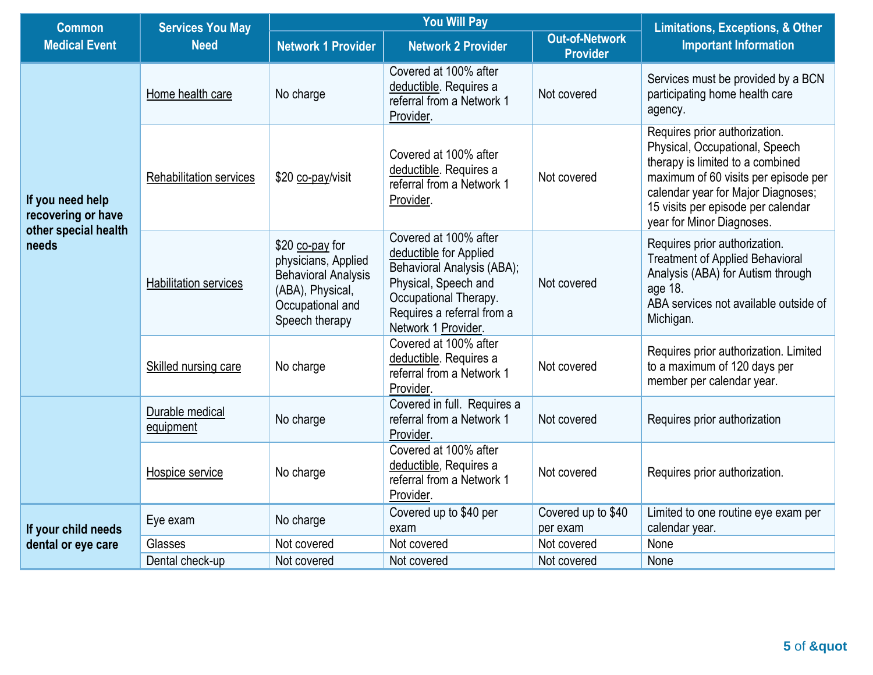| <b>Common</b>                                                           | <b>Services You May</b><br><b>Need</b> | <b>You Will Pay</b>                                                                                                            |                                                                                                                                                                                     |                                          | <b>Limitations, Exceptions, &amp; Other</b>                                                                                                                                                                                                          |
|-------------------------------------------------------------------------|----------------------------------------|--------------------------------------------------------------------------------------------------------------------------------|-------------------------------------------------------------------------------------------------------------------------------------------------------------------------------------|------------------------------------------|------------------------------------------------------------------------------------------------------------------------------------------------------------------------------------------------------------------------------------------------------|
| <b>Medical Event</b>                                                    |                                        | Network 1 Provider                                                                                                             | <b>Network 2 Provider</b>                                                                                                                                                           | <b>Out-of-Network</b><br><b>Provider</b> | <b>Important Information</b>                                                                                                                                                                                                                         |
| If you need help<br>recovering or have<br>other special health<br>needs | Home health care                       | No charge                                                                                                                      | Covered at 100% after<br>deductible. Requires a<br>referral from a Network 1<br>Provider.                                                                                           | Not covered                              | Services must be provided by a BCN<br>participating home health care<br>agency.                                                                                                                                                                      |
|                                                                         | <b>Rehabilitation services</b>         | \$20 co-pay/visit                                                                                                              | Covered at 100% after<br>deductible. Requires a<br>referral from a Network 1<br>Provider.                                                                                           | Not covered                              | Requires prior authorization.<br>Physical, Occupational, Speech<br>therapy is limited to a combined<br>maximum of 60 visits per episode per<br>calendar year for Major Diagnoses;<br>15 visits per episode per calendar<br>year for Minor Diagnoses. |
|                                                                         | Habilitation services                  | \$20 co-pay for<br>physicians, Applied<br><b>Behavioral Analysis</b><br>(ABA), Physical,<br>Occupational and<br>Speech therapy | Covered at 100% after<br>deductible for Applied<br>Behavioral Analysis (ABA);<br>Physical, Speech and<br>Occupational Therapy.<br>Requires a referral from a<br>Network 1 Provider. | Not covered                              | Requires prior authorization.<br><b>Treatment of Applied Behavioral</b><br>Analysis (ABA) for Autism through<br>age 18.<br>ABA services not available outside of<br>Michigan.                                                                        |
|                                                                         | Skilled nursing care                   | No charge                                                                                                                      | Covered at 100% after<br>deductible. Requires a<br>referral from a Network 1<br>Provider.                                                                                           | Not covered                              | Requires prior authorization. Limited<br>to a maximum of 120 days per<br>member per calendar year.                                                                                                                                                   |
|                                                                         | Durable medical<br>equipment           | No charge                                                                                                                      | Covered in full. Requires a<br>referral from a Network 1<br>Provider.                                                                                                               | Not covered                              | Requires prior authorization                                                                                                                                                                                                                         |
|                                                                         | Hospice service                        | No charge                                                                                                                      | Covered at 100% after<br>deductible, Requires a<br>referral from a Network 1<br>Provider.                                                                                           | Not covered                              | Requires prior authorization.                                                                                                                                                                                                                        |
| If your child needs                                                     | Eye exam                               | No charge                                                                                                                      | Covered up to \$40 per<br>exam                                                                                                                                                      | Covered up to \$40<br>per exam           | Limited to one routine eye exam per<br>calendar year.                                                                                                                                                                                                |
| dental or eye care                                                      | Glasses                                | Not covered                                                                                                                    | Not covered                                                                                                                                                                         | Not covered                              | None                                                                                                                                                                                                                                                 |
|                                                                         | Dental check-up                        | Not covered                                                                                                                    | Not covered                                                                                                                                                                         | Not covered                              | None                                                                                                                                                                                                                                                 |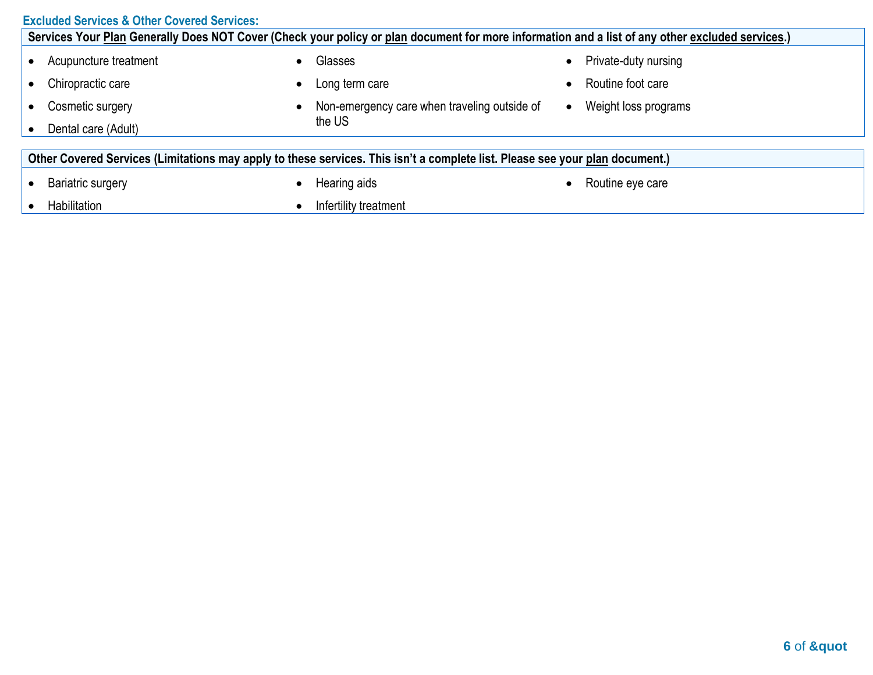#### **Excluded Services & Other Covered Services: Services Your Plan Generally Does NOT Cover (Check your policy or plan document for more information and a list of any other excluded services.)** • Acupuncture treatment • Chiropractic care • Cosmetic surgery • Dental care (Adult) • Glasses • Long term care • Non-emergency care when traveling outside of the US • Private-duty nursing • Routine foot care • Weight loss programs **Other Covered Services (Limitations may apply to these services. This isn't a complete list. Please see your plan document.)** • Bariatric surgery • Habilitation • Hearing aids • Infertility treatment • Routine eye care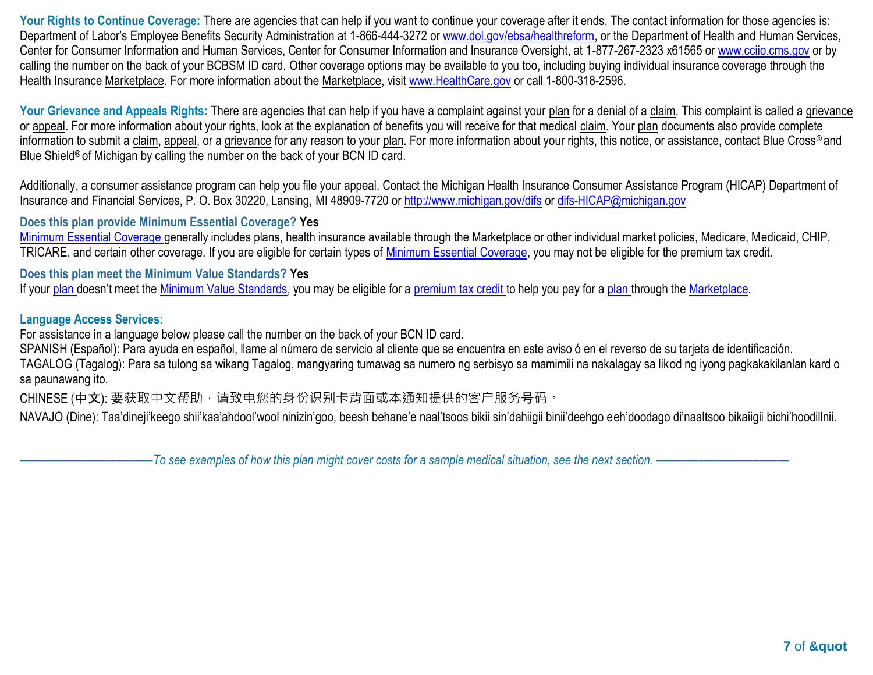Your Rights to Continue Coverage: There are agencies that can help if you want to continue your coverage after it ends. The contact information for those agencies is: Department of Labor's Employee Benefits Security Administration at 1-866-444-3272 o[r www.dol.gov/ebsa/healthreform,](http://www.dol.gov/ebsa/healthreform) or the Department of Health and Human Services, Center for Consumer Information and Human Services, Center for Consumer Information and Insurance Oversight, at 1-877-267-2323 x61565 or [www.cciio.cms.gov](http://www.cciio.cms.gov/) or by calling the number on the back of your BCBSM ID card. Other coverage options may be available to you too, including buying individual insurance coverage through the Health Insurance Marketplace. For more information about the Marketplace, visit [www.HealthCare.gov](http://www.healthcare.gov/) or call 1-800-318-2596.

Your Grievance and Appeals Rights: There are agencies that can help if you have a complaint against your plan for a denial of a claim. This complaint is called a grievance or appeal. For more information about your rights, look at the explanation of benefits you will receive for that medical claim. Your plan documents also provide complete information to submit a claim, appeal, or a grievance for any reason to your plan. For more information about your rights, this notice, or assistance, contact Blue Cross® and Blue Shield<sup>®</sup> of Michigan by calling the number on the back of your BCN ID card.

Additionally, a consumer assistance program can help you file your appeal. Contact the Michigan Health Insurance Consumer Assistance Program (HICAP) Department of Insurance and Financial Services, P. O. Box 30220, Lansing, MI 48909-7720 o[r http://www.michigan.gov/difs](http://www.michigan.gov/difs) o[r difs-HICAP@michigan.gov](mailto:difs-HICAP@michigan.gov)

# **Does this plan provide Minimum Essential Coverage? Yes**

[Minimum Essential Coverage g](https://www.healthcare.gov/sbc-glossary/#minimum-essential-coverage)enerally includes plans, health insurance available through the Marketplace or other individual market policies, Medicare, Medicaid, CHIP, TRICARE, and certain other coverage. If you are eligible for certain types of [Minimum Essential Coverage,](https://www.healthcare.gov/sbc-glossary/#minimum-essential-coverage) you may not be eligible for the premium tax credit.

# **Does this plan meet the Minimum Value Standards? Yes**

If your [plan](https://www.healthcare.gov/sbc-glossary/#plan) doesn't meet the [Minimum Value Standards,](https://www.healthcare.gov/sbc-glossary/#minimum-value-standard) you may be eligible for a [premium tax credit t](https://www.healthcare.gov/sbc-glossary/#premium-tax-credits)o help you pay for a [plan t](https://www.healthcare.gov/sbc-glossary/#plan)hrough th[e Marketplace.](https://www.healthcare.gov/sbc-glossary/#marketplace)

# **Language Access Services:**

For assistance in a language below please call the number on the back of your BCN ID card.

SPANISH (Español): Para ayuda en español, llame al número de servicio al cliente que se encuentra en este aviso ó en el reverso de su tarjeta de identificación.

TAGALOG (Tagalog): Para sa tulong sa wikang Tagalog, mangyaring tumawag sa numero ng serbisyo sa mamimili na nakalagay sa likod ng iyong pagkakakilanlan kard o sa paunawang ito.

CHINESE (中文): 要获取中文帮助, 请致电您的身份识别卡背面或本通知提供的客户服务号码。

NAVAJO (Dine): Taa'dineji'keego shii'kaa'ahdool'wool ninizin'goo, beesh behane'e naal'tsoos bikii sin'dahiigii binii'deehgo eeh'doodago di'naaltsoo bikaiigii bichi'hoodillnii.

**––––––––––––––––––––––***To see examples of how this plan might cover costs for a sample medical situation, see the next section. –––––––––––***–––––––––––**